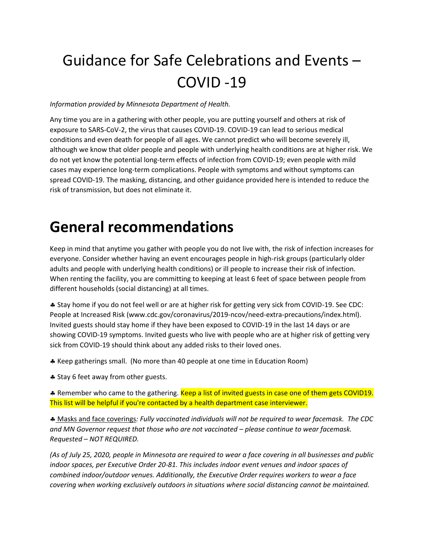# Guidance for Safe Celebrations and Events – COVID -19

#### *Information provided by Minnesota Department of Health.*

Any time you are in a gathering with other people, you are putting yourself and others at risk of exposure to SARS-CoV-2, the virus that causes COVID-19. COVID-19 can lead to serious medical conditions and even death for people of all ages. We cannot predict who will become severely ill, although we know that older people and people with underlying health conditions are at higher risk. We do not yet know the potential long-term effects of infection from COVID-19; even people with mild cases may experience long-term complications. People with symptoms and without symptoms can spread COVID-19. The masking, distancing, and other guidance provided here is intended to reduce the risk of transmission, but does not eliminate it.

### **General recommendations**

Keep in mind that anytime you gather with people you do not live with, the risk of infection increases for everyone. Consider whether having an event encourages people in high-risk groups (particularly older adults and people with underlying health conditions) or ill people to increase their risk of infection. When renting the facility, you are committing to keeping at least 6 feet of space between people from different households (social distancing) at all times.

 Stay home if you do not feel well or are at higher risk for getting very sick from COVID-19. See CDC: People at Increased Risk (www.cdc.gov/coronavirus/2019-ncov/need-extra-precautions/index.html). Invited guests should stay home if they have been exposed to COVID-19 in the last 14 days or are showing COVID-19 symptoms. Invited guests who live with people who are at higher risk of getting very sick from COVID-19 should think about any added risks to their loved ones.

Keep gatherings small. (No more than 40 people at one time in Education Room)

**\*** Stay 6 feet away from other guests.

\* Remember who came to the gathering. Keep a list of invited guests in case one of them gets COVID19. This list will be helpful if you're contacted by a health department case interviewer.

 Masks and face coverings*: Fully vaccinated individuals will not be required to wear facemask. The CDC and MN Governor request that those who are not vaccinated – please continue to wear facemask. Requested – NOT REQUIRED.*

*(As of July 25, 2020, people in Minnesota are required to wear a face covering in all businesses and public indoor spaces, per Executive Order 20-81. This includes indoor event venues and indoor spaces of combined indoor/outdoor venues. Additionally, the Executive Order requires workers to wear a face covering when working exclusively outdoors in situations where social distancing cannot be maintained.*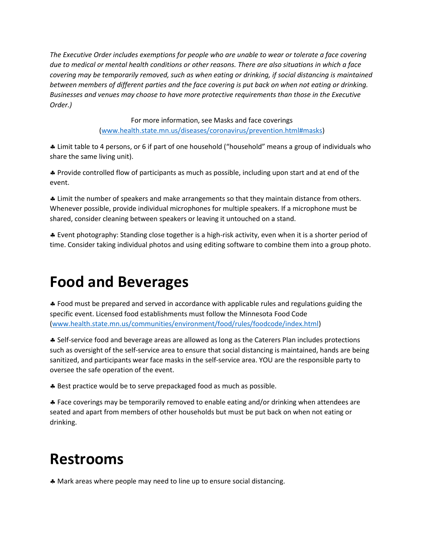*The Executive Order includes exemptions for people who are unable to wear or tolerate a face covering due to medical or mental health conditions or other reasons. There are also situations in which a face covering may be temporarily removed, such as when eating or drinking, if social distancing is maintained between members of different parties and the face covering is put back on when not eating or drinking. Businesses and venues may choose to have more protective requirements than those in the Executive Order.)*

> For more information, see Masks and face coverings [\(www.health.state.mn.us/diseases/coronavirus/prevention.html#masks\)](http://www.health.state.mn.us/diseases/coronavirus/prevention.html#masks)

 Limit table to 4 persons, or 6 if part of one household ("household" means a group of individuals who share the same living unit).

 Provide controlled flow of participants as much as possible, including upon start and at end of the event.

 Limit the number of speakers and make arrangements so that they maintain distance from others. Whenever possible, provide individual microphones for multiple speakers. If a microphone must be shared, consider cleaning between speakers or leaving it untouched on a stand.

 Event photography: Standing close together is a high-risk activity, even when it is a shorter period of time. Consider taking individual photos and using editing software to combine them into a group photo.

# **Food and Beverages**

 Food must be prepared and served in accordance with applicable rules and regulations guiding the specific event. Licensed food establishments must follow the Minnesota Food Code [\(www.health.state.mn.us/communities/environment/food/rules/foodcode/index.html\)](http://www.health.state.mn.us/communities/environment/food/rules/foodcode/index.html)

 Self-service food and beverage areas are allowed as long as the Caterers Plan includes protections such as oversight of the self-service area to ensure that social distancing is maintained, hands are being sanitized, and participants wear face masks in the self-service area. YOU are the responsible party to oversee the safe operation of the event.

\* Best practice would be to serve prepackaged food as much as possible.

 Face coverings may be temporarily removed to enable eating and/or drinking when attendees are seated and apart from members of other households but must be put back on when not eating or drinking.

### **Restrooms**

Mark areas where people may need to line up to ensure social distancing.